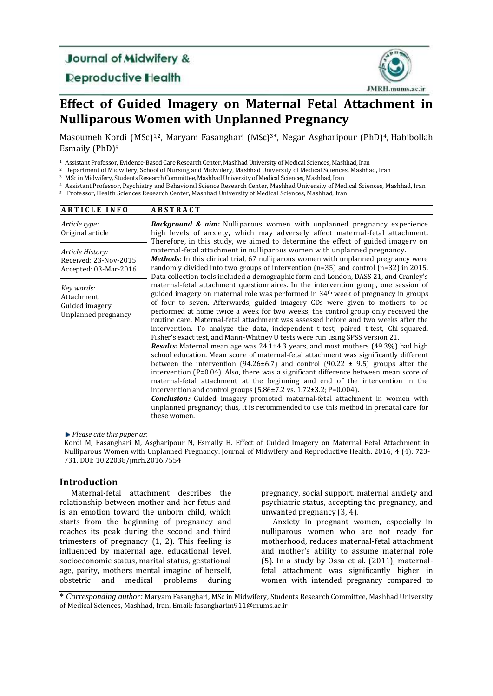## **Journal of Midwifery &**

**Reproductive Health** 



# **Effect of Guided Imagery on Maternal Fetal Attachment in Nulliparous Women with Unplanned Pregnancy**

Masoumeh Kordi (MSc)<sup>1,2</sup>, Maryam Fasanghari (MSc)<sup>3\*</sup>, Negar Asgharipour (PhD)<sup>4</sup>, Habibollah Esmaily (PhD) 5

<sup>1</sup> Assistant Professor, Evidence-Based Care Research Center, Mashhad University of Medical Sciences, Mashhad, Iran

<sup>2</sup> Department of Midwifery, School of Nursing and Midwifery, Mashhad University of Medical Sciences, Mashhad, Iran

<sup>3</sup> MSc in Midwifery, Students Research Committee, Mashhad University of Medical Sciences, Mashhad, Iran

<sup>4</sup> Assistant Professor, Psychiatry and Behavioral Science Research Center, Mashhad University of Medical Sciences, Mashhad, Iran

<sup>5</sup> Professor, Health Sciences Research Center, Mashhad University of Medical Sciences, Mashhad, Iran

| <b>ARTICLE INFO</b>                                                | <b>ABSTRACT</b>                                                                                                                                                                                                                                                                                                                                                                                                                                                                                                                                                                                                                                                                                                                                                                                                                                                                                                                                                                                                                                                                                                                                                                                                                                                                                                                                                    |
|--------------------------------------------------------------------|--------------------------------------------------------------------------------------------------------------------------------------------------------------------------------------------------------------------------------------------------------------------------------------------------------------------------------------------------------------------------------------------------------------------------------------------------------------------------------------------------------------------------------------------------------------------------------------------------------------------------------------------------------------------------------------------------------------------------------------------------------------------------------------------------------------------------------------------------------------------------------------------------------------------------------------------------------------------------------------------------------------------------------------------------------------------------------------------------------------------------------------------------------------------------------------------------------------------------------------------------------------------------------------------------------------------------------------------------------------------|
| Article type:<br>Original article                                  | <b>Background &amp; aim:</b> Nulliparous women with unplanned pregnancy experience<br>high levels of anxiety, which may adversely affect maternal-fetal attachment.<br>Therefore, in this study, we aimed to determine the effect of guided imagery on                                                                                                                                                                                                                                                                                                                                                                                                                                                                                                                                                                                                                                                                                                                                                                                                                                                                                                                                                                                                                                                                                                             |
| Article History:<br>Received: 23-Nov-2015<br>Accepted: 03-Mar-2016 | maternal-fetal attachment in nulliparous women with unplanned pregnancy.<br><b>Methods:</b> In this clinical trial, 67 nulliparous women with unplanned pregnancy were<br>randomly divided into two groups of intervention $(n=35)$ and control $(n=32)$ in 2015.<br>Data collection tools included a demographic form and London, DASS 21, and Cranley's                                                                                                                                                                                                                                                                                                                                                                                                                                                                                                                                                                                                                                                                                                                                                                                                                                                                                                                                                                                                          |
| Key words:<br>Attachment<br>Guided imagery<br>Unplanned pregnancy  | maternal-fetal attachment questionnaires. In the intervention group, one session of<br>guided imagery on maternal role was performed in $34th$ week of pregnancy in groups<br>of four to seven. Afterwards, guided imagery CDs were given to mothers to be<br>performed at home twice a week for two weeks; the control group only received the<br>routine care. Maternal-fetal attachment was assessed before and two weeks after the<br>intervention. To analyze the data, independent t-test, paired t-test, Chi-squared,<br>Fisher's exact test, and Mann-Whitney U tests were run using SPSS version 21.<br><b>Results:</b> Maternal mean age was 24.1±4.3 years, and most mothers (49.3%) had high<br>school education. Mean score of maternal-fetal attachment was significantly different<br>between the intervention (94.26 $\pm$ 6.7) and control (90.22 $\pm$ 9.5) groups after the<br>intervention $(P=0.04)$ . Also, there was a significant difference between mean score of<br>maternal-fetal attachment at the beginning and end of the intervention in the<br>intervention and control groups $(5.86 \pm 7.2 \text{ vs. } 1.72 \pm 3.2; P=0.004)$ .<br><b>Conclusion:</b> Guided imagery promoted maternal-fetal attachment in women with<br>unplanned pregnancy; thus, it is recommended to use this method in prenatal care for<br>these women. |

*Please cite this paper as*:

Kordi M, Fasanghari M, Asgharipour N, Esmaily H. Effect of Guided Imagery on Maternal Fetal Attachment in Nulliparous Women with Unplanned Pregnancy. Journal of Midwifery and Reproductive Health. 2016; 4 (4): 723- 731. [DOI: 10.22038/jmrh.2016.7554](doi:%2010.22038/jmrh.2016.7554)

## **Introduction**

Maternal-fetal attachment describes the relationship between mother and her fetus and is an emotion toward the unborn child, which starts from the beginning of pregnancy and reaches its peak during the second and third trimesters of pregnancy (1, 2). This feeling is influenced by maternal age, educational level, socioeconomic status, marital status, gestational age, parity, mothers mental imagine of herself, obstetric and medical problems during pregnancy, social support, maternal anxiety and psychiatric status, accepting the pregnancy, and unwanted pregnancy (3, 4).

Anxiety in pregnant women, especially in nulliparous women who are not ready for motherhood, reduces maternal-fetal attachment and mother's ability to assume maternal role (5). In a study by Ossa et al. (2011), maternalfetal attachment was significantly higher in women with intended pregnancy compared to

\* *Corresponding author:* Maryam Fasanghari, MSc in Midwifery, Students Research Committee, Mashhad University of Medical Sciences, Mashhad, Iran. Email: fasangharim911@mums.ac.ir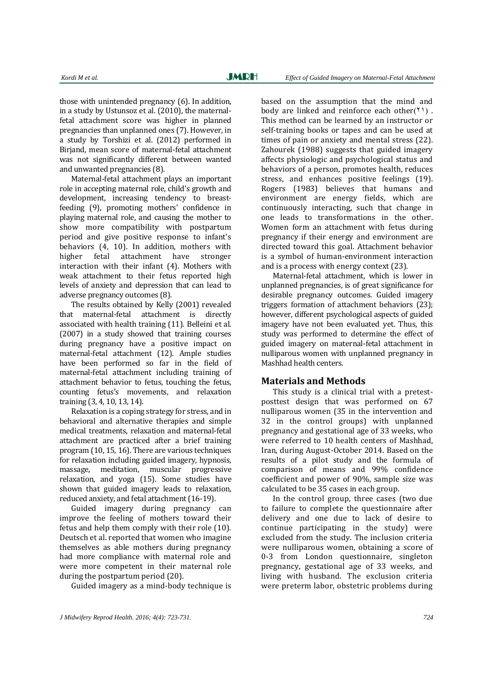those with unintended pregnancy (6). In addition, in a study by Ustunsoz et al. (2010), the maternalfetal attachment score was higher in planned pregnancies than unplanned ones (7). However, in a study by Torshizi et al. (2012) performed in Birjand, mean score of maternal-fetal attachment was not significantly different between wanted and unwanted pregnancies (8).

Maternal-fetal attachment plays an important role in accepting maternal role, child's growth and development, increasing tendency to breastfeeding (9), promoting mothers' confidence in playing maternal role, and causing the mother to show more compatibility with postpartum period and give positive response to infant's behaviors (4, 10). In addition, mothers with higher fetal attachment have stronger interaction with their infant (4). Mothers with weak attachment to their fetus reported high levels of anxiety and depression that can lead to adverse pregnancy outcomes (8).

The results obtained by Kelly (2001) revealed that maternal-fetal attachment is directly associated with health training (11). Belleini et al. (2007) in a study showed that training courses during pregnancy have a positive impact on maternal-fetal attachment (12). Ample studies have been performed so far in the field of maternal-fetal attachment including training of attachment behavior to fetus, touching the fetus, counting fetus's movements, and relaxation training (3, 4, 10, 13, 14).

Relaxation is a coping strategy for stress, and in behavioral and alternative therapies and simple medical treatments, relaxation and maternal-fetal attachment are practiced after a brief training program (10, 15, 16). There are various techniques for relaxation including guided imagery, hypnosis, massage, meditation, muscular progressive relaxation, and yoga (15). Some studies have shown that guided imagery leads to relaxation, reduced anxiety, and fetal attachment (16-19).

Guided imagery during pregnancy can improve the feeling of mothers toward their fetus and help them comply with their role (10). Deutsch et al. reported that women who imagine themselves as able mothers during pregnancy had more compliance with maternal role and were more competent in their maternal role during the postpartum period (20).

Guided imagery as a mind-body technique is

based on the assumption that the mind and body are linked and reinforce each other( $(1)$ ). This method can be learned by an instructor or self-training books or tapes and can be used at times of pain or anxiety and mental stress (22). Zahourek (1988) suggests that guided imagery affects physiologic and psychological status and behaviors of a person, promotes health, reduces stress, and enhances positive feelings (19). Rogers (1983) believes that humans and environment are energy fields, which are continuously interacting, such that change in one leads to transformations in the other. Women form an attachment with fetus during pregnancy if their energy and environment are directed toward this goal. Attachment behavior is a symbol of human-environment interaction and is a process with energy context (23).

Maternal-fetal attachment, which is lower in unplanned pregnancies, is of great significance for desirable pregnancy outcomes. Guided imagery triggers formation of attachment behaviors (23); however, different psychological aspects of guided imagery have not been evaluated yet. Thus, this study was performed to determine the effect of guided imagery on maternal-fetal attachment in nulliparous women with unplanned pregnancy in Mashhad health centers.

#### **Materials and Methods**

This study is a clinical trial with a pretestposttest design that was performed on 67 nulliparous women (35 in the intervention and 32 in the control groups) with unplanned pregnancy and gestational age of 33 weeks, who were referred to 10 health centers of Mashhad, Iran, during August-October 2014. Based on the results of a pilot study and the formula of comparison of means and 99% confidence coefficient and power of 90%, sample size was calculated to be 35 cases in each group.

In the control group, three cases (two due to failure to complete the questionnaire after delivery and one due to lack of desire to continue participating in the study) were excluded from the study. The inclusion criteria were nulliparous women, obtaining a score of 0-3 from London questionnaire, singleton pregnancy, gestational age of 33 weeks, and living with husband. The exclusion criteria were preterm labor, obstetric problems during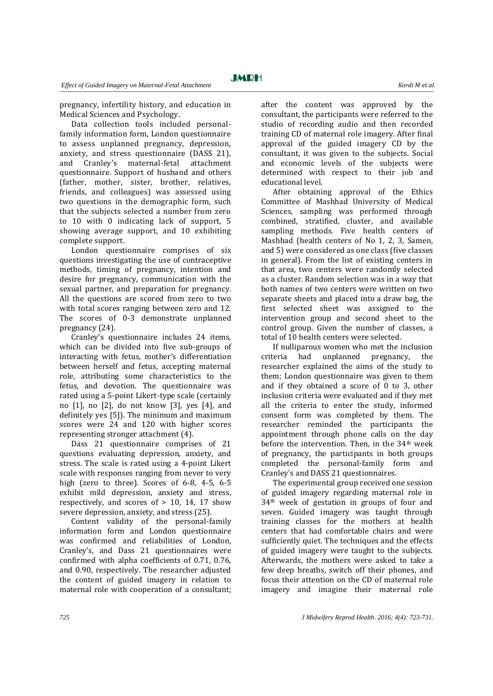pregnancy, infertility history, and education in Medical Sciences and Psychology.

Data collection tools included personalfamily information form, London questionnaire to assess unplanned pregnancy, depression, anxiety, and stress questionnaire (DASS 21), and Cranley's maternal-fetal attachment questionnaire. Support of husband and others (father, mother, sister, brother, relatives, friends, and colleagues) was assessed using two questions in the demographic form, such that the subjects selected a number from zero to 10 with 0 indicating lack of support, 5 showing average support, and 10 exhibiting complete support.

London questionnaire comprises of six questions investigating the use of contraceptive methods, timing of pregnancy, intention and desire for pregnancy, communication with the sexual partner, and preparation for pregnancy. All the questions are scored from zero to two with total scores ranging between zero and 12. The scores of 0-3 demonstrate unplanned pregnancy (24).

Cranley's questionnaire includes 24 items, which can be divided into five sub-groups of interacting with fetus, mother's differentiation between herself and fetus, accepting maternal role, attributing some characteristics to the fetus, and devotion. The questionnaire was rated using a 5-point Likert-type scale (certainly no [1], no [2], do not know [3], yes [4], and definitely yes [5]). The minimum and maximum scores were 24 and 120 with higher scores representing stronger attachment (4).

Dass 21 questionnaire comprises of 21 questions evaluating depression, anxiety, and stress. The scale is rated using a 4-point Likert scale with responses ranging from never to very high (zero to three). Scores of 6-8, 4-5, 6-5 exhibit mild depression, anxiety and stress, respectively, and scores of  $> 10$ , 14, 17 show severe depression, anxiety, and stress (25).

Content validity of the personal-family information form and London questionnaire was confirmed and reliabilities of London, Cranley's, and Dass 21 questionnaires were confirmed with alpha coefficients of 0.71, 0.76, and 0.90, respectively. The researcher adjusted the content of guided imagery in relation to maternal role with cooperation of a consultant;

after the content was approved by the consultant, the participants were referred to the studio of recording audio and then recorded training CD of maternal role imagery. After final approval of the guided imagery CD by the consultant, it was given to the subjects. Social and economic levels of the subjects were determined with respect to their job and educational level.

After obtaining approval of the Ethics Committee of Mashhad University of Medical Sciences, sampling was performed through combined, stratified, cluster, and available sampling methods. Five health centers of Mashhad (health centers of No 1, 2, 3, Samen, and 5) were considered as one class (five classes in general). From the list of existing centers in that area, two centers were randomly selected as a cluster. Random selection was in a way that both names of two centers were written on two separate sheets and placed into a draw bag, the first selected sheet was assigned to the intervention group and second sheet to the control group. Given the number of classes, a total of 10 health centers were selected.

If nulliparous women who met the inclusion criteria had unplanned pregnancy, the researcher explained the aims of the study to them; London questionnaire was given to them and if they obtained a score of 0 to 3, other inclusion criteria were evaluated and if they met all the criteria to enter the study, informed consent form was completed by them. The researcher reminded the participants the appointment through phone calls on the day before the intervention. Then, in the 34th week of pregnancy, the participants in both groups completed the personal-family form and Cranley's and DASS 21 questionnaires.

The experimental group received one session of guided imagery regarding maternal role in 34th week of gestation in groups of four and seven. Guided imagery was taught through training classes for the mothers at health centers that had comfortable chairs and were sufficiently quiet. The techniques and the effects of guided imagery were taught to the subjects. Afterwards, the mothers were asked to take a few deep breaths, switch off their phones, and focus their attention on the CD of maternal role imagery and imagine their maternal role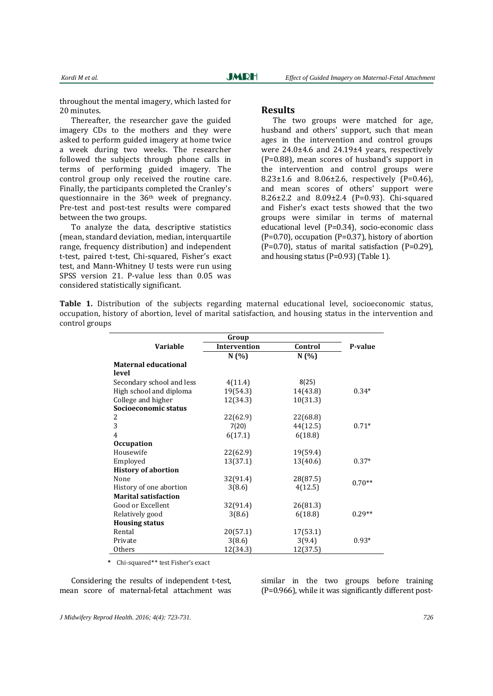throughout the mental imagery, which lasted for 20 minutes.

Thereafter, the researcher gave the guided imagery CDs to the mothers and they were asked to perform guided imagery at home twice a week during two weeks. The researcher followed the subjects through phone calls in terms of performing guided imagery. The control group only received the routine care. Finally, the participants completed the Cranley's questionnaire in the 36th week of pregnancy. Pre-test and post-test results were compared between the two groups.

To analyze the data, descriptive statistics (mean, standard deviation, median, interquartile range, frequency distribution) and independent t-test, paired t-test, Chi-squared, Fisher's exact test, and Mann-Whitney U tests were run using SPSS version 21. P-value less than 0.05 was considered statistically significant.

#### **Results**

The two groups were matched for age, husband and others' support, such that mean ages in the intervention and control groups were 24.0±4.6 and 24.19±4 years, respectively (P=0.88), mean scores of husband's support in the intervention and control groups were  $8.23 \pm 1.6$  and  $8.06 \pm 2.6$ , respectively (P=0.46), and mean scores of others' support were 8.26±2.2 and 8.09±2.4 (P=0.93). Chi-squared and Fisher's exact tests showed that the two groups were similar in terms of maternal educational level (P=0.34), socio-economic class  $(P=0.70)$ , occupation  $(P=0.37)$ , history of abortion  $(P=0.70)$ , status of marital satisfaction  $(P=0.29)$ , and housing status (P=0.93) (Table 1).

**Table 1.** Distribution of the subjects regarding maternal educational level, socioeconomic status, occupation, history of abortion, level of marital satisfaction, and housing status in the intervention and control groups

|                             | Group               |          |          |  |  |
|-----------------------------|---------------------|----------|----------|--|--|
| <b>Variable</b>             | <b>Intervention</b> | Control  | P-value  |  |  |
|                             | N(%)                | N(%)     |          |  |  |
| <b>Maternal educational</b> |                     |          |          |  |  |
| level                       |                     |          |          |  |  |
| Secondary school and less   | 4(11.4)             | 8(25)    |          |  |  |
| High school and diploma     | 19(54.3)            | 14(43.8) | $0.34*$  |  |  |
| College and higher          | 12(34.3)            | 10(31.3) |          |  |  |
| Socioeconomic status        |                     |          |          |  |  |
| 2                           | 22(62.9)            | 22(68.8) |          |  |  |
| 3                           | 7(20)               | 44(12.5) | $0.71*$  |  |  |
| $\overline{4}$              | 6(17.1)             | 6(18.8)  |          |  |  |
| <b>Occupation</b>           |                     |          |          |  |  |
| Housewife                   | 22(62.9)            | 19(59.4) |          |  |  |
| Employed                    | 13(37.1)            | 13(40.6) | $0.37*$  |  |  |
| <b>History of abortion</b>  |                     |          |          |  |  |
| None                        | 32(91.4)            | 28(87.5) | $0.70**$ |  |  |
| History of one abortion     | 3(8.6)              | 4(12.5)  |          |  |  |
| <b>Marital satisfaction</b> |                     |          |          |  |  |
| Good or Excellent           | 32(91.4)            | 26(81.3) |          |  |  |
| Relatively good             | 3(8.6)              | 6(18.8)  | $0.29**$ |  |  |
| <b>Housing status</b>       |                     |          |          |  |  |
| Rental                      | 20(57.1)            | 17(53.1) |          |  |  |
| Private                     | 3(8.6)              | 3(9.4)   | $0.93*$  |  |  |
| Others                      | 12(34.3)            | 12(37.5) |          |  |  |

 **\*** Chi-squared\*\* test Fisher's exact

Considering the results of independent t-test, mean score of maternal-fetal attachment was

similar in the two groups before training (P=0.966), while it was significantly different post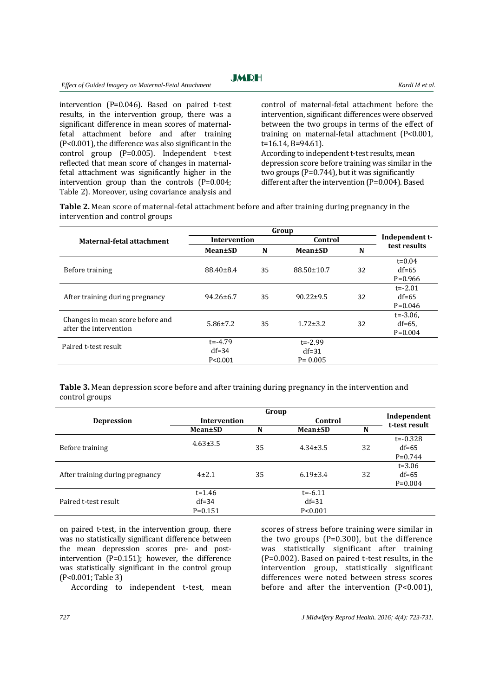intervention (P=0.046). Based on paired t-test results, in the intervention group, there was a significant difference in mean scores of maternalfetal attachment before and after training (P<0.001), the difference was also significant in the control group (P=0.005). Independent t-test reflected that mean score of changes in maternalfetal attachment was significantly higher in the intervention group than the controls (P=0.004; Table 2). Moreover, using covariance analysis and control of maternal-fetal attachment before the intervention, significant differences were observed between the two groups in terms of the effect of training on maternal-fetal attachment (P<0.001, t=16.14, B=94.61)*.* According to independent t-test results, mean depression score before training was similar in the two groups (P=0.744), but it was significantly

different after the intervention (P=0.004). Based

**Table 2.** Mean score of maternal-fetal attachment before and after training during pregnancy in the intervention and control groups

|                                                            | Group               |    |                  |    |                |
|------------------------------------------------------------|---------------------|----|------------------|----|----------------|
| Maternal-fetal attachment                                  | <b>Intervention</b> |    | Control          |    | Independent t- |
|                                                            | Mean±SD             | N  | Mean±SD          | N  | test results   |
|                                                            |                     |    |                  |    | $t = 0.04$     |
| Before training                                            | $88.40 \pm 8.4$     | 35 | $88.50 \pm 10.7$ | 32 | $df=65$        |
|                                                            |                     |    |                  |    | $P=0.966$      |
|                                                            |                     |    |                  |    | $t = -2.01$    |
| After training during pregnancy                            | $94.26 \pm 6.7$     | 35 | $90.22 \pm 9.5$  | 32 | $df=65$        |
|                                                            |                     |    |                  |    | $P=0.046$      |
|                                                            |                     |    |                  |    | $t = -3.06$ ,  |
| Changes in mean score before and<br>after the intervention | $5.86 \pm 7.2$      | 35 | $1.72 \pm 3.2$   | 32 | $df=65$ ,      |
|                                                            |                     |    |                  |    | $P=0.004$      |
| Paired t-test result                                       | $t = -4.79$         |    | $t = -2.99$      |    |                |
|                                                            | $df = 34$           |    | $df = 31$        |    |                |
|                                                            | P < 0.001           |    | $P = 0.005$      |    |                |
|                                                            |                     |    |                  |    |                |

**Table 3.** Mean depression score before and after training during pregnancy in the intervention and control groups

|                                 | Group          |    |                 |    |                              |
|---------------------------------|----------------|----|-----------------|----|------------------------------|
| Depression                      | Intervention   |    | Control         |    | Independent<br>t-test result |
|                                 | Mean±SD        | N  | <b>Mean</b> ±SD | N  |                              |
|                                 | $4.63 \pm 3.5$ | 35 | $4.34 \pm 3.5$  | 32 | $t = -0.328$                 |
| Before training                 |                |    |                 |    | $df=65$                      |
|                                 |                |    |                 |    | $P=0.744$                    |
|                                 |                |    |                 |    | $t = 3.06$                   |
| After training during pregnancy | $4 + 2.1$      | 35 | $6.19\pm3.4$    | 32 | $df=65$                      |
|                                 |                |    |                 |    | $P=0.004$                    |
|                                 | $t = 1.46$     |    | $t = -6.11$     |    |                              |
| Paired t-test result            | $df = 34$      |    | $df = 31$       |    |                              |
|                                 | $P = 0.151$    |    | P < 0.001       |    |                              |

on paired t-test, in the intervention group, there was no statistically significant difference between the mean depression scores pre- and postintervention (P=0.151); however, the difference was statistically significant in the control group (P<0.001; Table 3)

According to independent t-test, mean

scores of stress before training were similar in the two groups  $(P=0.300)$ , but the difference was statistically significant after training (P=0.002). Based on paired t-test results, in the intervention group, statistically significant differences were noted between stress scores before and after the intervention (P<0.001),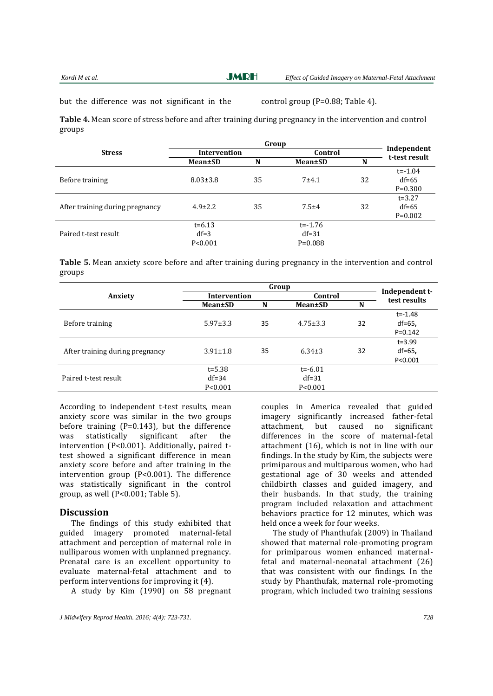**JMRH** 

but the difference was not significant in the control group  $(P=0.88;$  Table 4).

**Table 4.** Mean score of stress before and after training during pregnancy in the intervention and control groups

|                                 | Group           |    |                 |    |                              |
|---------------------------------|-----------------|----|-----------------|----|------------------------------|
| <b>Stress</b>                   | Intervention    |    | Control         |    | Independent<br>t-test result |
|                                 | <b>Mean</b> ±SD | N  | <b>Mean</b> ±SD | N  |                              |
|                                 |                 |    |                 |    | $t = -1.04$                  |
| Before training                 | $8.03 \pm 3.8$  | 35 | $7 + 4.1$       | 32 | $df=65$                      |
|                                 |                 |    |                 |    | $P=0.300$                    |
|                                 |                 |    |                 |    | $t = 3.27$                   |
| After training during pregnancy | $4.9 \pm 2.2$   | 35 | $7.5 + 4$       | 32 | $df=65$                      |
|                                 |                 |    |                 |    | $P=0.002$                    |
|                                 | $t = 6.13$      |    | $t = -1.76$     |    |                              |
| Paired t-test result            | $df=3$          |    | $df = 31$       |    |                              |
|                                 | P < 0.001       |    | $P = 0.088$     |    |                              |

**Table 5.** Mean anxiety score before and after training during pregnancy in the intervention and control groups

|                                 | Group          |    |                 |    |                                |
|---------------------------------|----------------|----|-----------------|----|--------------------------------|
| Anxiety                         | Intervention   |    | Control         |    | Independent t-<br>test results |
|                                 | Mean±SD        | N  | <b>Mean</b> ±SD | N  |                                |
|                                 |                |    |                 |    | $t = -1.48$                    |
| Before training                 | $5.97 \pm 3.3$ | 35 | $4.75 \pm 3.3$  | 32 | $df=65$ ,                      |
|                                 |                |    |                 |    | $P=0.142$                      |
|                                 |                |    |                 |    | $t = 3.99$                     |
| After training during pregnancy | $3.91 \pm 1.8$ | 35 | $6.34 \pm 3$    | 32 | $df=65$ ,                      |
|                                 |                |    |                 |    | P < 0.001                      |
|                                 | $t = 5.38$     |    | $t = -6.01$     |    |                                |
| Paired t-test result            | $df = 34$      |    | $df = 31$       |    |                                |
|                                 | P < 0.001      |    | P < 0.001       |    |                                |

According to independent t-test results, mean anxiety score was similar in the two groups before training (P=0.143), but the difference was statistically significant after the intervention (P<0.001). Additionally, paired ttest showed a significant difference in mean anxiety score before and after training in the intervention group (P<0.001). The difference was statistically significant in the control group, as well (P<0.001; Table 5).

#### **Discussion**

The findings of this study exhibited that guided imagery promoted maternal-fetal attachment and perception of maternal role in nulliparous women with unplanned pregnancy. Prenatal care is an excellent opportunity to evaluate maternal-fetal attachment and to perform interventions for improving it (4).

A study by Kim (1990) on 58 pregnant

couples in America revealed that guided imagery significantly increased father-fetal attachment, but caused no significant differences in the score of maternal-fetal attachment (16), which is not in line with our findings. In the study by Kim, the subjects were primiparous and multiparous women, who had gestational age of 30 weeks and attended childbirth classes and guided imagery, and their husbands. In that study, the training program included relaxation and attachment behaviors practice for 12 minutes, which was held once a week for four weeks.

The study of Phanthufak (2009) in Thailand showed that maternal role-promoting program for primiparous women enhanced maternalfetal and maternal-neonatal attachment (26) that was consistent with our findings. In the study by Phanthufak, maternal role-promoting program, which included two training sessions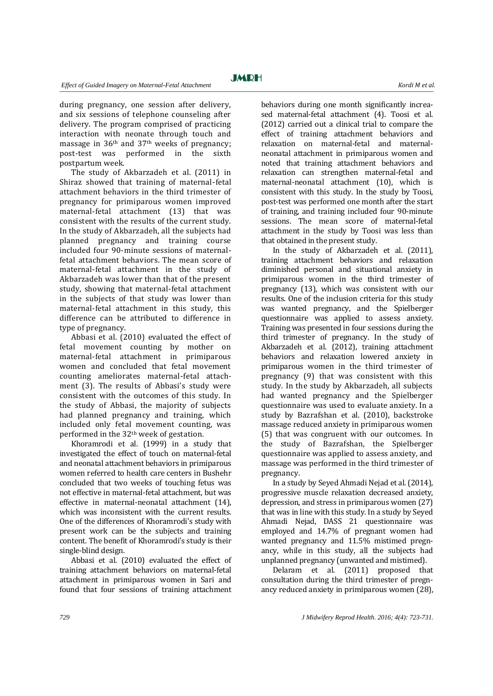during pregnancy, one session after delivery, and six sessions of telephone counseling after delivery. The program comprised of practicing interaction with neonate through touch and massage in  $36<sup>th</sup>$  and  $37<sup>th</sup>$  weeks of pregnancy; post-test was performed in the sixth postpartum week.

The study of Akbarzadeh et al. (2011) in Shiraz showed that training of maternal-fetal attachment behaviors in the third trimester of pregnancy for primiparous women improved maternal-fetal attachment (13) that was consistent with the results of the current study. In the study of Akbarzadeh, all the subjects had planned pregnancy and training course included four 90-minute sessions of maternalfetal attachment behaviors. The mean score of maternal-fetal attachment in the study of Akbarzadeh was lower than that of the present study, showing that maternal-fetal attachment in the subjects of that study was lower than maternal-fetal attachment in this study, this difference can be attributed to difference in type of pregnancy.

Abbasi et al. (2010) evaluated the effect of fetal movement counting by mother on maternal-fetal attachment in primiparous women and concluded that fetal movement counting ameliorates maternal-fetal attachment (3). The results of Abbasi's study were consistent with the outcomes of this study. In the study of Abbasi, the majority of subjects had planned pregnancy and training, which included only fetal movement counting, was performed in the 32th week of gestation.

Khoramrodi et al. (1999) in a study that investigated the effect of touch on maternal-fetal and neonatal attachment behaviors in primiparous women referred to health care centers in Bushehr concluded that two weeks of touching fetus was not effective in maternal-fetal attachment, but was effective in maternal-neonatal attachment (14), which was inconsistent with the current results. One of the differences of Khoramrodi's study with present work can be the subjects and training content. The benefit of Khoramrodi's study is their single-blind design.

Abbasi et al. (2010) evaluated the effect of training attachment behaviors on maternal-fetal attachment in primiparous women in Sari and found that four sessions of training attachment behaviors during one month significantly increased maternal-fetal attachment (4). Toosi et al. (2012) carried out a clinical trial to compare the effect of training attachment behaviors and relaxation on maternal-fetal and maternalneonatal attachment in primiparous women and noted that training attachment behaviors and relaxation can strengthen maternal-fetal and maternal-neonatal attachment (10), which is consistent with this study. In the study by Toosi, post-test was performed one month after the start of training, and training included four 90-minute sessions. The mean score of maternal-fetal attachment in the study by Toosi was less than that obtained in the present study.

In the study of Akbarzadeh et al. (2011), training attachment behaviors and relaxation diminished personal and situational anxiety in primiparous women in the third trimester of pregnancy (13), which was consistent with our results. One of the inclusion criteria for this study was wanted pregnancy, and the Spielberger questionnaire was applied to assess anxiety. Training was presented in four sessions during the third trimester of pregnancy. In the study of Akbarzadeh et al. (2012), training attachment behaviors and relaxation lowered anxiety in primiparous women in the third trimester of pregnancy (9) that was consistent with this study. In the study by Akbarzadeh, all subjects had wanted pregnancy and the Spielberger questionnaire was used to evaluate anxiety. In a study by Bazrafshan et al. (2010), backstroke massage reduced anxiety in primiparous women (5) that was congruent with our outcomes. In the study of Bazrafshan, the Spielberger questionnaire was applied to assess anxiety, and massage was performed in the third trimester of pregnancy.

In a study by Seyed Ahmadi Nejad et al. (2014), progressive muscle relaxation decreased anxiety, depression, and stress in primiparous women (27) that was in line with this study. In a study by Seyed Ahmadi Nejad, DASS 21 questionnaire was employed and 14.7% of pregnant women had wanted pregnancy and 11.5% mistimed pregnancy, while in this study, all the subjects had unplanned pregnancy (unwanted and mistimed).

Delaram et al. (2011) proposed that consultation during the third trimester of pregnancy reduced anxiety in primiparous women (28),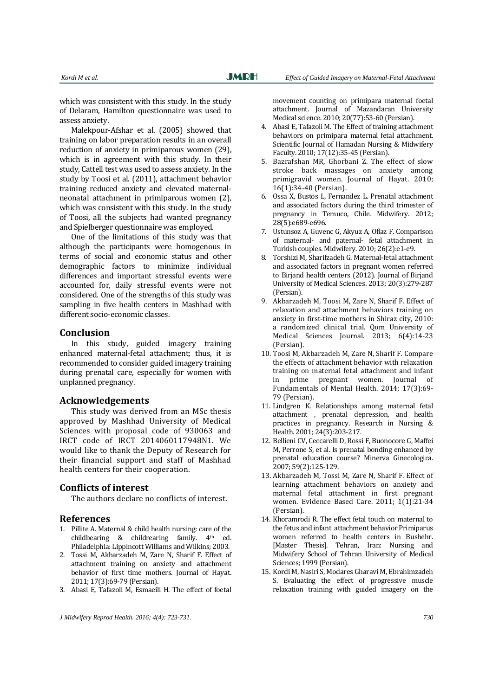which was consistent with this study. In the study of Delaram, Hamilton questionnaire was used to assess anxiety.

Malekpour-Afshar et al. (2005) showed that training on labor preparation results in an overall reduction of anxiety in primiparous women (29), which is in agreement with this study. In their study, Cattell test was used to assess anxiety. In the study by Toosi et al. (2011), attachment behavior training reduced anxiety and elevated maternalneonatal attachment in primiparous women (2), which was consistent with this study. In the study of Toosi, all the subjects had wanted pregnancy and Spielberger questionnaire was employed.

One of the limitations of this study was that although the participants were homogenous in terms of social and economic status and other demographic factors to minimize individual differences and important stressful events were accounted for, daily stressful events were not considered. One of the strengths of this study was sampling in five health centers in Mashhad with different socio-economic classes.

#### **Conclusion**

In this study, guided imagery training enhanced maternal-fetal attachment; thus, it is recommended to consider guided imagery training during prenatal care, especially for women with unplanned pregnancy.

#### **Acknowledgements**

This study was derived from an MSc thesis approved by Mashhad University of Medical Sciences with proposal code of 930063 and IRCT code of IRCT 2014060117948N1. We would like to thank the Deputy of Research for their financial support and staff of Mashhad health centers for their cooperation.

### **Conflicts of interest**

The authors declare no conflicts of interest.

#### **References**

- 1. Pillite A. Maternal & child health nursing: care of the childbearing & childrearing family. 4<sup>th</sup> ed. Philadelphia: Lippincott Williams and Wilkins; 2003.
- 2. Tossi M, Akbarzadeh M, Zare N, Sharif F. Effect of attachment training on anxiety and attachment behavior of first time mothers. Journal of Hayat. 2011; 17(3):69-79 (Persian).
- 3. Abasi E, Tafazoli M, Esmaeili H. The effect of foetal

movement counting on primipara maternal foetal attachment. Journal of Mazandaran University Medical science. 2010; 20(77):53-60 (Persian).

- 4. Abasi E, Tafazoli M. The Effect of training attachment behaviors on primipara maternal fetal attachment. Scientific Journal of Hamadan Nursing & Midwifery Faculty. 2010; 17(12):35-45 (Persian).
- 5. Bazrafshan MR, Ghorbani Z. The effect of slow stroke back massages on anxiety among primigravid women. Journal of Hayat. 2010; 16(1):34-40 (Persian).
- 6. Ossa X, Bustos L, Fernandez L. Prenatal attachment and associated factors during the third trimester of pregnancy in Temuco, Chile. Midwifery. 2012; 28(5):e689-e696.
- 7. Ustunsoz A, Guvenc G, Akyuz A, Oflaz F. Comparison of maternal- and paternal- fetal attachment in Turkish couples. Midwifery. 2010; 26(2):e1-e9.
- 8. Torshizi M, Sharifzadeh G. Maternal-fetal attachment and associated factors in pregnant women referred to Birjand health centers (2012). Journal of Birjand University of Medical Sciences. 2013; 20(3):279-287 (Persian).
- 9. Akbarzadeh M, Toosi M, Zare N, Sharif F. Effect of relaxation and attachment behaviors training on anxiety in first-time mothers in Shiraz city, 2010: a randomized clinical trial. Qom University of Medical Sciences Journal. 2013; 6(4):14-23 (Persian).
- 10. Toosi M, Akbarzadeh M, Zare N, Sharif F. Compare the effects of attachment behavior with relaxation training on maternal fetal attachment and infant in prime pregnant women. Journal of Fundamentals of Mental Health. 2014; 17(3):69- 79 (Persian).
- 11. Lindgren K. Relationships among maternal fetal attachment , prenatal depression, and health practices in pregnancy. Research in Nursing & Health. 2001; 24(3):203-217.
- 12. Bellieni CV, Ceccarelli D, Rossi F, Buonocore G, Maffei M, Perrone S, et al. Is prenatal bonding enhanced by prenatal education course? Minerva Ginecologica. 2007; 59(2):125-129.
- 13. Akbarzadeh M, Tossi M, Zare N, Sharif F. Effect of learning attachment behaviors on anxiety and maternal fetal attachment in first pregnant women. Evidence Based Care. 2011; 1(1):21-34 (Persian).
- 14. Khoramrodi R. The effect fetal touch on maternal to the fetus and infant attachment behavior Primiparus women referred to health centers in Bushehr. [Master Thesis]. Tehran, Iran: Nursing and Midwifery School of Tehran University of Medical Sciences; 1999 (Persian).
- 15. Kordi M, Nasiri S, Modares Gharavi M, Ebrahimzadeh S. Evaluating the effect of progressive muscle relaxation training with guided imagery on the